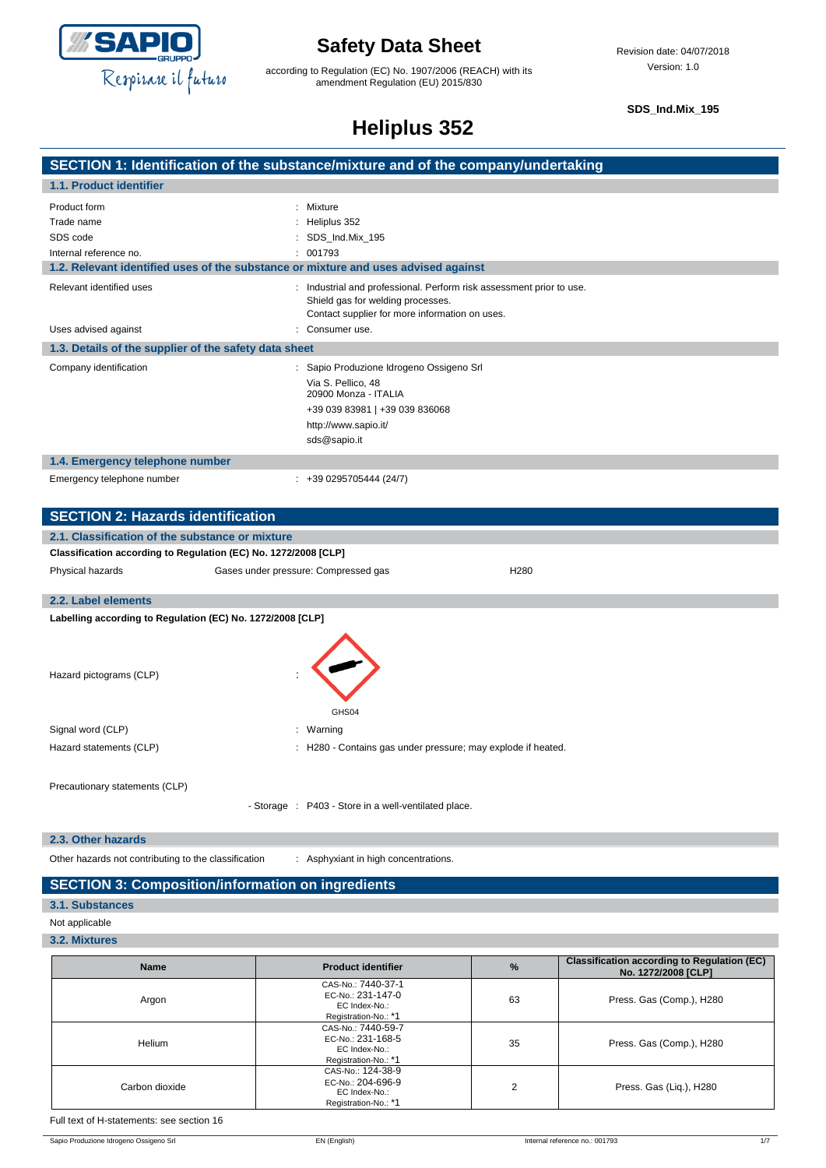

according to Regulation (EC) No. 1907/2006 (REACH) with its amendment Regulation (EU) 2015/830

**SDS\_Ind.Mix\_195**

# **Heliplus 352**

| <b>TIGIINIUS JJK</b>                                  |                                                                                                                                                           |  |
|-------------------------------------------------------|-----------------------------------------------------------------------------------------------------------------------------------------------------------|--|
|                                                       | SECTION 1: Identification of the substance/mixture and of the company/undertaking                                                                         |  |
| 1.1. Product identifier                               |                                                                                                                                                           |  |
| Product form                                          | : Mixture                                                                                                                                                 |  |
| Trade name                                            | Heliplus 352                                                                                                                                              |  |
| SDS code                                              | SDS_Ind.Mix_195                                                                                                                                           |  |
| Internal reference no.                                | 001793                                                                                                                                                    |  |
|                                                       | 1.2. Relevant identified uses of the substance or mixture and uses advised against                                                                        |  |
| Relevant identified uses                              | Industrial and professional. Perform risk assessment prior to use.<br>Shield gas for welding processes.<br>Contact supplier for more information on uses. |  |
| Uses advised against                                  | Consumer use.                                                                                                                                             |  |
| 1.3. Details of the supplier of the safety data sheet |                                                                                                                                                           |  |
| Company identification                                | : Sapio Produzione Idrogeno Ossigeno Srl                                                                                                                  |  |
|                                                       | Via S. Pellico, 48<br>20900 Monza - ITALIA                                                                                                                |  |
|                                                       | +39 039 83981   +39 039 836068                                                                                                                            |  |
|                                                       | http://www.sapio.it/                                                                                                                                      |  |
|                                                       | sds@sapio.it                                                                                                                                              |  |
| 1.4. Emergency telephone number                       |                                                                                                                                                           |  |
| Emergency telephone number                            | $: +390295705444(24/7)$                                                                                                                                   |  |
| <b>SECTION 2: Hazards identification</b>              |                                                                                                                                                           |  |
| 2.1. Classification of the substance or mixture       |                                                                                                                                                           |  |
|                                                       | Classification according to Regulation (EC) No. 1272/2008 [CLP]                                                                                           |  |
| Physical hazards                                      | Gases under pressure: Compressed gas<br>H280                                                                                                              |  |
| 2.2. Label elements                                   |                                                                                                                                                           |  |

**Labelling according to Regulation (EC) No. 1272/2008 [CLP]**

Hazard pictograms (CLP) :

GHS04 Signal word (CLP) in the set of the set of the set of the set of the set of the set of the set of the set of the set of the set of the set of the set of the set of the set of the set of the set of the set of the set of the

Hazard statements (CLP) : H280 - Contains gas under pressure; may explode if heated.

Precautionary statements (CLP)

- Storage : P403 - Store in a well-ventilated place.

#### **2.3. Other hazards**

Other hazards not contributing to the classification : Asphyxiant in high concentrations.

#### **SECTION 3: Composition/information on ingredients**

#### **3.1. Substances**

- Not applicable
- **3.2. Mixtures**

| <b>Name</b>    | <b>Product identifier</b>                                                        | $\frac{9}{6}$ | <b>Classification according to Regulation (EC)</b><br>No. 1272/2008 [CLP] |
|----------------|----------------------------------------------------------------------------------|---------------|---------------------------------------------------------------------------|
| Argon          | CAS-No.: 7440-37-1<br>EC-No.: 231-147-0<br>EC Index-No.:<br>Registration-No.: *1 | 63            | Press. Gas (Comp.), H280                                                  |
| Helium         | CAS-No.: 7440-59-7<br>EC-No.: 231-168-5<br>EC Index-No.:<br>Registration-No.: *1 | 35            | Press. Gas (Comp.), H280                                                  |
| Carbon dioxide | CAS-No.: 124-38-9<br>EC-No.: 204-696-9<br>EC Index-No.:<br>Registration-No.: *1  | C<br>ے        | Press. Gas (Liq.), H280                                                   |

Full text of H-statements: see section 16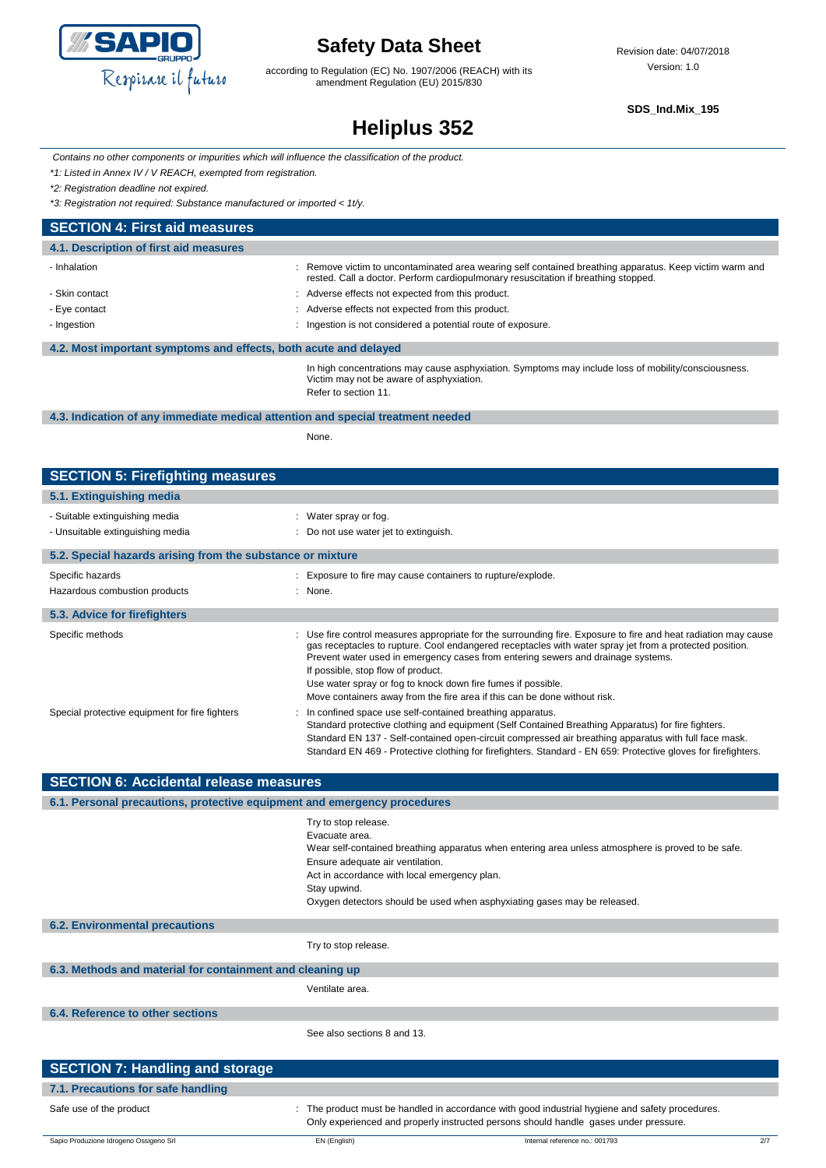

according to Regulation (EC) No. 1907/2006 (REACH) with its amendment Regulation (EU) 2015/830

**SDS\_Ind.Mix\_195**

# **Heliplus 352**

*Contains no other components or impurities which will influence the classification of the product.*

*\*1: Listed in Annex IV / V REACH, exempted from registration.*

*\*2: Registration deadline not expired.*

*\*3: Registration not required: Substance manufactured or imported < 1t/y.*

| <b>SECTION 4: First aid measures</b>                             |                                                                                                                                                                                             |  |  |
|------------------------------------------------------------------|---------------------------------------------------------------------------------------------------------------------------------------------------------------------------------------------|--|--|
| 4.1. Description of first aid measures                           |                                                                                                                                                                                             |  |  |
| - Inhalation                                                     | Remove victim to uncontaminated area wearing self contained breathing apparatus. Keep victim warm and<br>rested. Call a doctor. Perform cardiopulmonary resuscitation if breathing stopped. |  |  |
| - Skin contact                                                   | Adverse effects not expected from this product.                                                                                                                                             |  |  |
| - Eye contact                                                    | Adverse effects not expected from this product.                                                                                                                                             |  |  |
| - Ingestion                                                      | Ingestion is not considered a potential route of exposure.                                                                                                                                  |  |  |
| 4.2. Most important symptoms and effects, both acute and delayed |                                                                                                                                                                                             |  |  |
|                                                                  | In high concentrations may cause asphysiation. Symptoms may include loss of mobility/consciousness                                                                                          |  |  |

In high concentrations may cause asphyxiation. Symptoms may include loss of mobility/consciousness. Victim may not be aware of asphyxiation. Refer to section 11.

#### **4.3. Indication of any immediate medical attention and special treatment needed**

None.

| <b>SECTION 5: Firefighting measures</b>                    |                                                                                                                                                                                                                                                                                                                                                                                                                                                                                                   |  |  |  |
|------------------------------------------------------------|---------------------------------------------------------------------------------------------------------------------------------------------------------------------------------------------------------------------------------------------------------------------------------------------------------------------------------------------------------------------------------------------------------------------------------------------------------------------------------------------------|--|--|--|
| 5.1. Extinguishing media                                   |                                                                                                                                                                                                                                                                                                                                                                                                                                                                                                   |  |  |  |
| - Suitable extinguishing media                             | : Water spray or fog.                                                                                                                                                                                                                                                                                                                                                                                                                                                                             |  |  |  |
| - Unsuitable extinguishing media                           | : Do not use water jet to extinguish.                                                                                                                                                                                                                                                                                                                                                                                                                                                             |  |  |  |
| 5.2. Special hazards arising from the substance or mixture |                                                                                                                                                                                                                                                                                                                                                                                                                                                                                                   |  |  |  |
| Specific hazards                                           | : Exposure to fire may cause containers to rupture/explode.                                                                                                                                                                                                                                                                                                                                                                                                                                       |  |  |  |
| Hazardous combustion products                              | $:$ None.                                                                                                                                                                                                                                                                                                                                                                                                                                                                                         |  |  |  |
| 5.3. Advice for firefighters                               |                                                                                                                                                                                                                                                                                                                                                                                                                                                                                                   |  |  |  |
| Specific methods                                           | : Use fire control measures appropriate for the surrounding fire. Exposure to fire and heat radiation may cause<br>gas receptacles to rupture. Cool endangered receptacles with water spray jet from a protected position.<br>Prevent water used in emergency cases from entering sewers and drainage systems.<br>If possible, stop flow of product.<br>Use water spray or fog to knock down fire fumes if possible.<br>Move containers away from the fire area if this can be done without risk. |  |  |  |
| Special protective equipment for fire fighters             | : In confined space use self-contained breathing apparatus.<br>Standard protective clothing and equipment (Self Contained Breathing Apparatus) for fire fighters.<br>Standard EN 137 - Self-contained open-circuit compressed air breathing apparatus with full face mask.<br>Standard EN 469 - Protective clothing for firefighters. Standard - EN 659: Protective gloves for firefighters.                                                                                                      |  |  |  |

| <b>SECTION 6: Accidental release measures</b>                            |                                                                                                                                                                                                                                                                                                                              |  |  |
|--------------------------------------------------------------------------|------------------------------------------------------------------------------------------------------------------------------------------------------------------------------------------------------------------------------------------------------------------------------------------------------------------------------|--|--|
| 6.1. Personal precautions, protective equipment and emergency procedures |                                                                                                                                                                                                                                                                                                                              |  |  |
|                                                                          | Try to stop release.<br>Evacuate area.<br>Wear self-contained breathing apparatus when entering area unless atmosphere is proved to be safe.<br>Ensure adequate air ventilation.<br>Act in accordance with local emergency plan.<br>Stay upwind.<br>Oxygen detectors should be used when asphyxiating gases may be released. |  |  |
| <b>6.2. Environmental precautions</b>                                    |                                                                                                                                                                                                                                                                                                                              |  |  |
|                                                                          | Try to stop release.                                                                                                                                                                                                                                                                                                         |  |  |
| 6.3. Methods and material for containment and cleaning up                |                                                                                                                                                                                                                                                                                                                              |  |  |
|                                                                          | Ventilate area.                                                                                                                                                                                                                                                                                                              |  |  |
| 6.4. Reference to other sections                                         |                                                                                                                                                                                                                                                                                                                              |  |  |
|                                                                          | See also sections 8 and 13.                                                                                                                                                                                                                                                                                                  |  |  |
| <b>SECTION 7: Handling and storage</b>                                   |                                                                                                                                                                                                                                                                                                                              |  |  |

| 7.1. Precautions for safe handling     |              |                                                                                                                                                                                       |     |
|----------------------------------------|--------------|---------------------------------------------------------------------------------------------------------------------------------------------------------------------------------------|-----|
| Safe use of the product                |              | The product must be handled in accordance with good industrial hygiene and safety procedures.<br>Only experienced and properly instructed persons should handle gases under pressure. |     |
| Sapio Produzione Idrogeno Ossigeno Srl | EN (English) | Internal reference no.: 001793                                                                                                                                                        | 2/7 |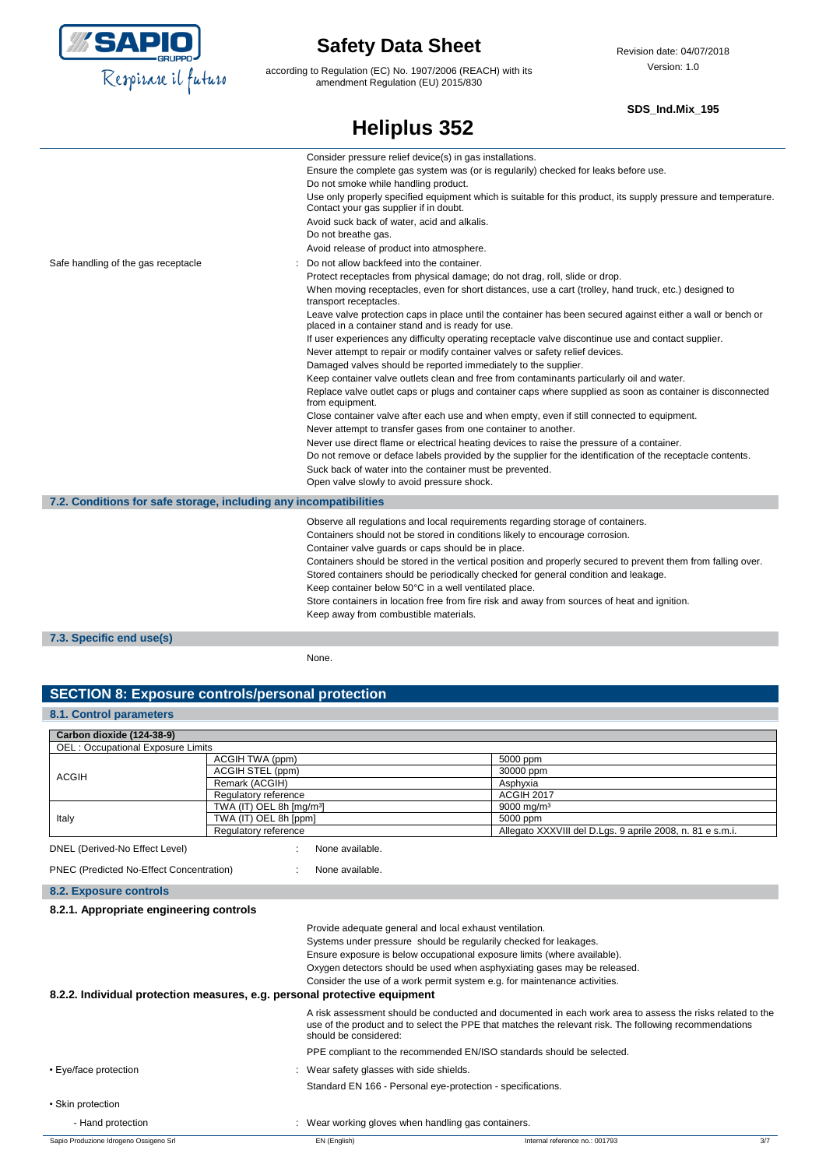

according to Regulation (EC) No. 1907/2006 (REACH) with its amendment Regulation (EU) 2015/830

#### **SDS\_Ind.Mix\_195**

| <b>Heliplus 352</b>                                               |                                                                                                                                                                                                                                                                                                                                                                                                                                                                                                                                                                                                                                                                                                                                                                                                                                                                                                                                                                                                                                                                                                                                                                                                                                                                                                                                                                                                             |  |
|-------------------------------------------------------------------|-------------------------------------------------------------------------------------------------------------------------------------------------------------------------------------------------------------------------------------------------------------------------------------------------------------------------------------------------------------------------------------------------------------------------------------------------------------------------------------------------------------------------------------------------------------------------------------------------------------------------------------------------------------------------------------------------------------------------------------------------------------------------------------------------------------------------------------------------------------------------------------------------------------------------------------------------------------------------------------------------------------------------------------------------------------------------------------------------------------------------------------------------------------------------------------------------------------------------------------------------------------------------------------------------------------------------------------------------------------------------------------------------------------|--|
|                                                                   | Consider pressure relief device(s) in gas installations.<br>Ensure the complete gas system was (or is regularily) checked for leaks before use.<br>Do not smoke while handling product.<br>Use only properly specified equipment which is suitable for this product, its supply pressure and temperature.<br>Contact your gas supplier if in doubt.<br>Avoid suck back of water, acid and alkalis.<br>Do not breathe gas.<br>Avoid release of product into atmosphere.                                                                                                                                                                                                                                                                                                                                                                                                                                                                                                                                                                                                                                                                                                                                                                                                                                                                                                                                      |  |
| Safe handling of the gas receptacle                               | Do not allow backfeed into the container.<br>Protect receptacles from physical damage; do not drag, roll, slide or drop.<br>When moving receptacles, even for short distances, use a cart (trolley, hand truck, etc.) designed to<br>transport receptacles.<br>Leave valve protection caps in place until the container has been secured against either a wall or bench or<br>placed in a container stand and is ready for use.<br>If user experiences any difficulty operating receptacle valve discontinue use and contact supplier.<br>Never attempt to repair or modify container valves or safety relief devices.<br>Damaged valves should be reported immediately to the supplier.<br>Keep container valve outlets clean and free from contaminants particularly oil and water.<br>Replace valve outlet caps or plugs and container caps where supplied as soon as container is disconnected<br>from equipment.<br>Close container valve after each use and when empty, even if still connected to equipment.<br>Never attempt to transfer gases from one container to another.<br>Never use direct flame or electrical heating devices to raise the pressure of a container.<br>Do not remove or deface labels provided by the supplier for the identification of the receptacle contents.<br>Suck back of water into the container must be prevented.<br>Open valve slowly to avoid pressure shock. |  |
| 7.2. Conditions for safe storage, including any incompatibilities |                                                                                                                                                                                                                                                                                                                                                                                                                                                                                                                                                                                                                                                                                                                                                                                                                                                                                                                                                                                                                                                                                                                                                                                                                                                                                                                                                                                                             |  |
|                                                                   | Observe all regulations and local requirements regarding storage of containers.<br>Containers should not be stored in conditions likely to encourage corrosion.<br>Container valve guards or caps should be in place.<br>Containers should be stored in the vertical position and properly secured to prevent them from falling over.<br>Stored containers should be periodically checked for general condition and leakage.<br>Keep container below 50°C in a well ventilated place.<br>Store containers in location free from fire risk and away from sources of heat and ignition.<br>Keep away from combustible materials.                                                                                                                                                                                                                                                                                                                                                                                                                                                                                                                                                                                                                                                                                                                                                                              |  |
| 7.3. Specific end use(s)                                          |                                                                                                                                                                                                                                                                                                                                                                                                                                                                                                                                                                                                                                                                                                                                                                                                                                                                                                                                                                                                                                                                                                                                                                                                                                                                                                                                                                                                             |  |

None.

### **SECTION 8: Exposure controls/personal protection**

#### **8.1. Control parameters**

| Carbon dioxide (124-38-9)                |                                      |                                                           |  |  |
|------------------------------------------|--------------------------------------|-----------------------------------------------------------|--|--|
| <b>OEL: Occupational Exposure Limits</b> |                                      |                                                           |  |  |
|                                          | ACGIH TWA (ppm)                      | 5000 ppm                                                  |  |  |
| <b>ACGIH</b>                             | ACGIH STEL (ppm)                     | 30000 ppm                                                 |  |  |
|                                          | Remark (ACGIH)                       | Asphyxia                                                  |  |  |
|                                          | Regulatory reference                 | ACGIH 2017                                                |  |  |
| Italy                                    | TWA (IT) OEL 8h [mg/m <sup>3</sup> ] | $9000 \,\mathrm{mg/m^3}$                                  |  |  |
|                                          | TWA (IT) OEL 8h [ppm]                | 5000 ppm                                                  |  |  |
|                                          | Regulatory reference                 | Allegato XXXVIII del D.Lgs. 9 aprile 2008, n. 81 e s.m.i. |  |  |

```
PNEC (Predicted No-Effect Concentration) : None available.
```
**8.2. Exposure controls**

#### **8.2.1. Appropriate engineering controls**

| Provide adequate general and local exhaust ventilation.                                                                                                                                                                                      |  |  |
|----------------------------------------------------------------------------------------------------------------------------------------------------------------------------------------------------------------------------------------------|--|--|
| Systems under pressure should be regularily checked for leakages.                                                                                                                                                                            |  |  |
| Ensure exposure is below occupational exposure limits (where available).                                                                                                                                                                     |  |  |
| Oxygen detectors should be used when asphyxiating gases may be released.                                                                                                                                                                     |  |  |
| Consider the use of a work permit system e.g. for maintenance activities.                                                                                                                                                                    |  |  |
| 8.2.2. Individual protection measures, e.g. personal protective equipment                                                                                                                                                                    |  |  |
| A risk assessment should be conducted and documented in each work area to assess the risks related to the<br>use of the product and to select the PPE that matches the relevant risk. The following recommendations<br>should be considered: |  |  |
| PPE compliant to the recommended EN/ISO standards should be selected.                                                                                                                                                                        |  |  |
| : Wear safety glasses with side shields.                                                                                                                                                                                                     |  |  |
| Standard EN 166 - Personal eye-protection - specifications.                                                                                                                                                                                  |  |  |
|                                                                                                                                                                                                                                              |  |  |
| Wear working gloves when handling gas containers.                                                                                                                                                                                            |  |  |
|                                                                                                                                                                                                                                              |  |  |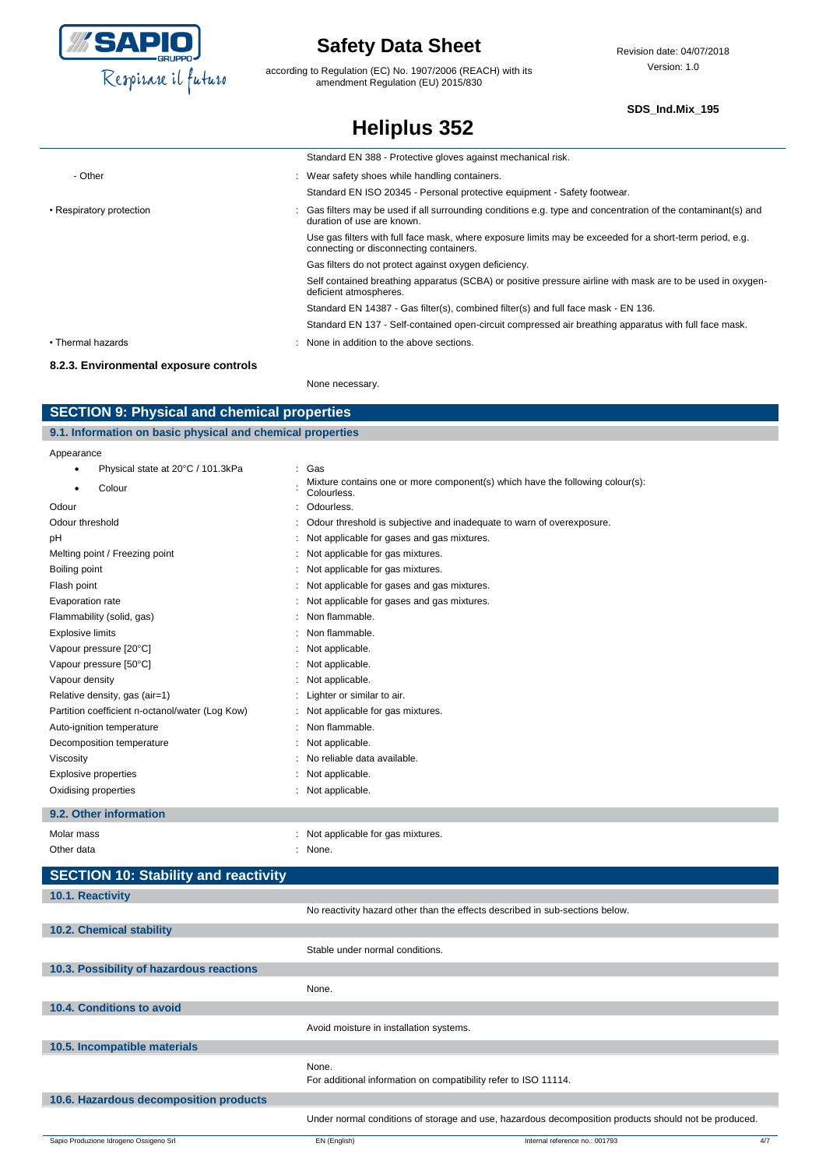

according to Regulation (EC) No. 1907/2006 (REACH) with its amendment Regulation (EU) 2015/830

**Heliplus 352**

#### **SDS\_Ind.Mix\_195**

|                                        | Standard EN 388 - Protective gloves against mechanical risk.                                                                                        |
|----------------------------------------|-----------------------------------------------------------------------------------------------------------------------------------------------------|
| - Other                                | : Wear safety shoes while handling containers.                                                                                                      |
|                                        | Standard EN ISO 20345 - Personal protective equipment - Safety footwear.                                                                            |
| • Respiratory protection               | Gas filters may be used if all surrounding conditions e.g. type and concentration of the contaminant(s) and<br>duration of use are known.           |
|                                        | Use gas filters with full face mask, where exposure limits may be exceeded for a short-term period, e.g.<br>connecting or disconnecting containers. |
|                                        | Gas filters do not protect against oxygen deficiency.                                                                                               |
|                                        | Self contained breathing apparatus (SCBA) or positive pressure airline with mask are to be used in oxygen-<br>deficient atmospheres.                |
|                                        | Standard EN 14387 - Gas filter(s), combined filter(s) and full face mask - EN 136.                                                                  |
|                                        | Standard EN 137 - Self-contained open-circuit compressed air breathing apparatus with full face mask.                                               |
| • Thermal hazards                      | None in addition to the above sections.                                                                                                             |
| 8.2.3. Environmental exposure controls |                                                                                                                                                     |

None necessary.

### **SECTION 9: Physical and chemical properties**

| 9.1. Information on basic physical and chemical properties |                                   |                                                                               |  |
|------------------------------------------------------------|-----------------------------------|-------------------------------------------------------------------------------|--|
| Appearance                                                 |                                   |                                                                               |  |
|                                                            | Physical state at 20°C / 101.3kPa | Gas                                                                           |  |
|                                                            | $\sim$ -1-                        | Mixture contains one or more component(s) which have the following colour(s): |  |

| Colour                                          | mixture corritative only of more componented, which nave the rollowing colour(e).<br>Colourless. |
|-------------------------------------------------|--------------------------------------------------------------------------------------------------|
| Odour                                           | Odourless.                                                                                       |
| Odour threshold                                 | Odour threshold is subjective and inadequate to warn of overexposure.                            |
| pH                                              | Not applicable for gases and gas mixtures.                                                       |
| Melting point / Freezing point                  | Not applicable for gas mixtures.                                                                 |
| Boiling point                                   | Not applicable for gas mixtures.                                                                 |
| Flash point                                     | : Not applicable for gases and gas mixtures.                                                     |
| Evaporation rate                                | Not applicable for gases and gas mixtures.                                                       |
| Flammability (solid, gas)                       | Non flammable.                                                                                   |
| <b>Explosive limits</b>                         | Non flammable.                                                                                   |
| Vapour pressure [20°C]                          | Not applicable.                                                                                  |
| Vapour pressure [50°C]                          | : Not applicable.                                                                                |
| Vapour density                                  | Not applicable.                                                                                  |
| Relative density, gas (air=1)                   | Lighter or similar to air.                                                                       |
| Partition coefficient n-octanol/water (Log Kow) | Not applicable for gas mixtures.                                                                 |
| Auto-ignition temperature                       | Non flammable.                                                                                   |
| Decomposition temperature                       | : Not applicable.                                                                                |
| Viscosity                                       | No reliable data available.                                                                      |
| Explosive properties                            | Not applicable.                                                                                  |
| Oxidising properties                            | Not applicable.                                                                                  |
|                                                 |                                                                                                  |

#### **9.2. Other information**

| Molar mass<br>Other data                    | : Not applicable for gas mixtures.<br>None. |
|---------------------------------------------|---------------------------------------------|
| <b>SECTION 10: Stability and reactivity</b> |                                             |
| $10.4$ Dogotivity                           |                                             |

### Sapio Produzione Idrogeno Ossigeno Srl **EN (English)** EN (English) and EN (English) and English and Internal reference no.: 001793 4/7 **10.1. Reactivity** No reactivity hazard other than the effects described in sub-sections below. **10.2. Chemical stability** Stable under normal conditions. **10.3. Possibility of hazardous reactions** None. **10.4. Conditions to avoid** Avoid moisture in installation systems. **10.5. Incompatible materials** None. For additional information on compatibility refer to ISO 11114. **10.6. Hazardous decomposition products** Under normal conditions of storage and use, hazardous decomposition products should not be produced.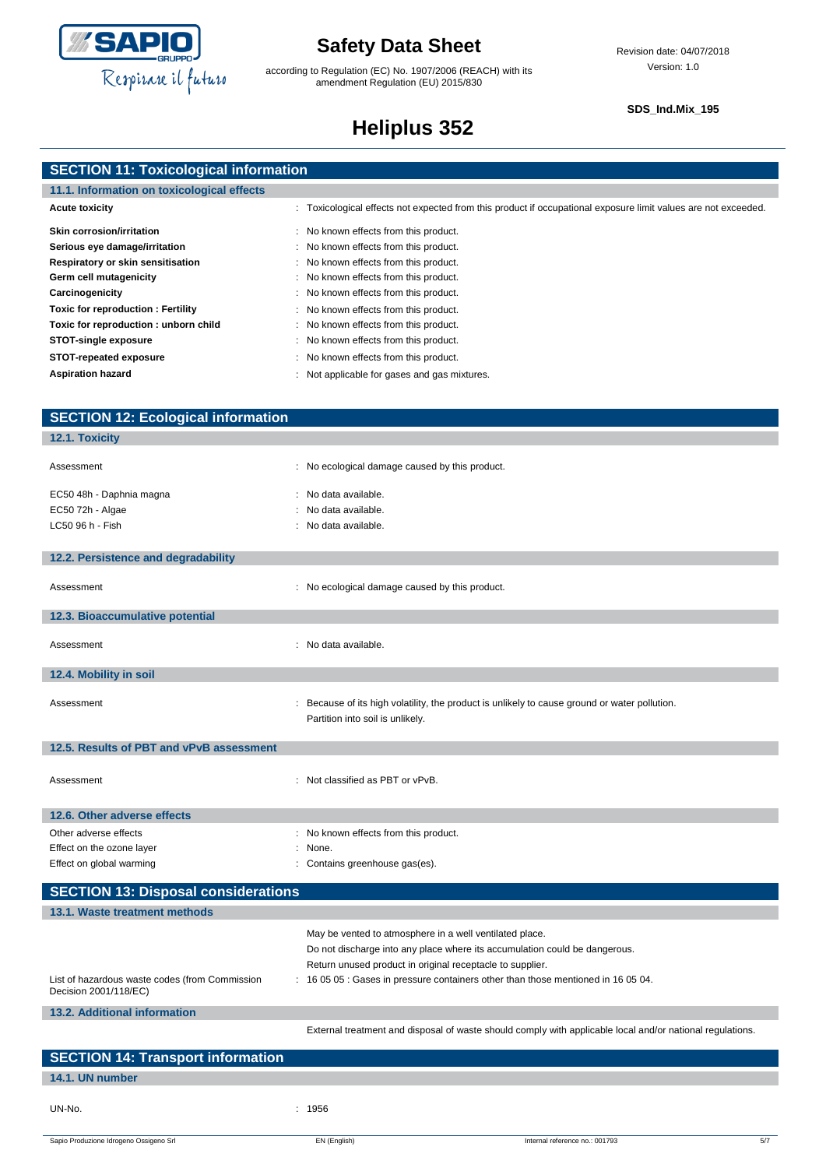

according to Regulation (EC) No. 1907/2006 (REACH) with its amendment Regulation (EU) 2015/830

#### **SDS\_Ind.Mix\_195**

# **Heliplus 352**

| <b>SECTION 11: Toxicological information</b> |  |  |
|----------------------------------------------|--|--|
|                                              |  |  |

| 11.1. Information on toxicological effects |                                                                                                                |
|--------------------------------------------|----------------------------------------------------------------------------------------------------------------|
| <b>Acute toxicity</b>                      | : Toxicological effects not expected from this product if occupational exposure limit values are not exceeded. |
| <b>Skin corrosion/irritation</b>           | : No known effects from this product.                                                                          |
| Serious eye damage/irritation              | : No known effects from this product.                                                                          |
| Respiratory or skin sensitisation          | : No known effects from this product.                                                                          |
| Germ cell mutagenicity                     | : No known effects from this product.                                                                          |
| Carcinogenicity                            | : No known effects from this product.                                                                          |
| Toxic for reproduction: Fertility          | : No known effects from this product.                                                                          |
| Toxic for reproduction: unborn child       | : No known effects from this product.                                                                          |
| STOT-single exposure                       | : No known effects from this product.                                                                          |
| STOT-repeated exposure                     | No known effects from this product.                                                                            |
| <b>Aspiration hazard</b>                   | Not applicable for gases and gas mixtures.                                                                     |

| <b>SECTION 12: Ecological information</b>      |                                                                                                                                                |
|------------------------------------------------|------------------------------------------------------------------------------------------------------------------------------------------------|
| 12.1. Toxicity                                 |                                                                                                                                                |
| Assessment                                     | : No ecological damage caused by this product.                                                                                                 |
|                                                |                                                                                                                                                |
| EC50 48h - Daphnia magna                       | : No data available.                                                                                                                           |
| EC50 72h - Algae                               | No data available.                                                                                                                             |
| LC50 96 h - Fish                               | : No data available.                                                                                                                           |
| 12.2. Persistence and degradability            |                                                                                                                                                |
|                                                |                                                                                                                                                |
| Assessment                                     | : No ecological damage caused by this product.                                                                                                 |
| 12.3. Bioaccumulative potential                |                                                                                                                                                |
|                                                |                                                                                                                                                |
| Assessment                                     | : No data available.                                                                                                                           |
| 12.4. Mobility in soil                         |                                                                                                                                                |
|                                                |                                                                                                                                                |
| Assessment                                     | : Because of its high volatility, the product is unlikely to cause ground or water pollution.<br>Partition into soil is unlikely.              |
|                                                |                                                                                                                                                |
| 12.5. Results of PBT and vPvB assessment       |                                                                                                                                                |
|                                                |                                                                                                                                                |
| Assessment                                     | : Not classified as PBT or vPvB.                                                                                                               |
| 12.6. Other adverse effects                    |                                                                                                                                                |
| Other adverse effects                          | : No known effects from this product.                                                                                                          |
| Effect on the ozone layer                      | : None.                                                                                                                                        |
| Effect on global warming                       | : Contains greenhouse gas(es).                                                                                                                 |
| <b>SECTION 13: Disposal considerations</b>     |                                                                                                                                                |
| 13.1. Waste treatment methods                  |                                                                                                                                                |
|                                                |                                                                                                                                                |
|                                                | May be vented to atmosphere in a well ventilated place.                                                                                        |
|                                                | Do not discharge into any place where its accumulation could be dangerous.                                                                     |
| List of hazardous waste codes (from Commission | Return unused product in original receptacle to supplier.<br>: 16 05 05 : Gases in pressure containers other than those mentioned in 16 05 04. |
| Decision 2001/118/EC)                          |                                                                                                                                                |
| 13.2. Additional information                   |                                                                                                                                                |
|                                                | External treatment and disposal of waste should comply with applicable local and/or national regulations.                                      |
| <b>SECTION 14: Transport information</b>       |                                                                                                                                                |
| 14.1. UN number                                |                                                                                                                                                |

Sapio Produzione Idrogeno Ossigeno Srl **EN (English)** EN (English) **Internal reference no.: 001793** 5/7

UN-No. : 1956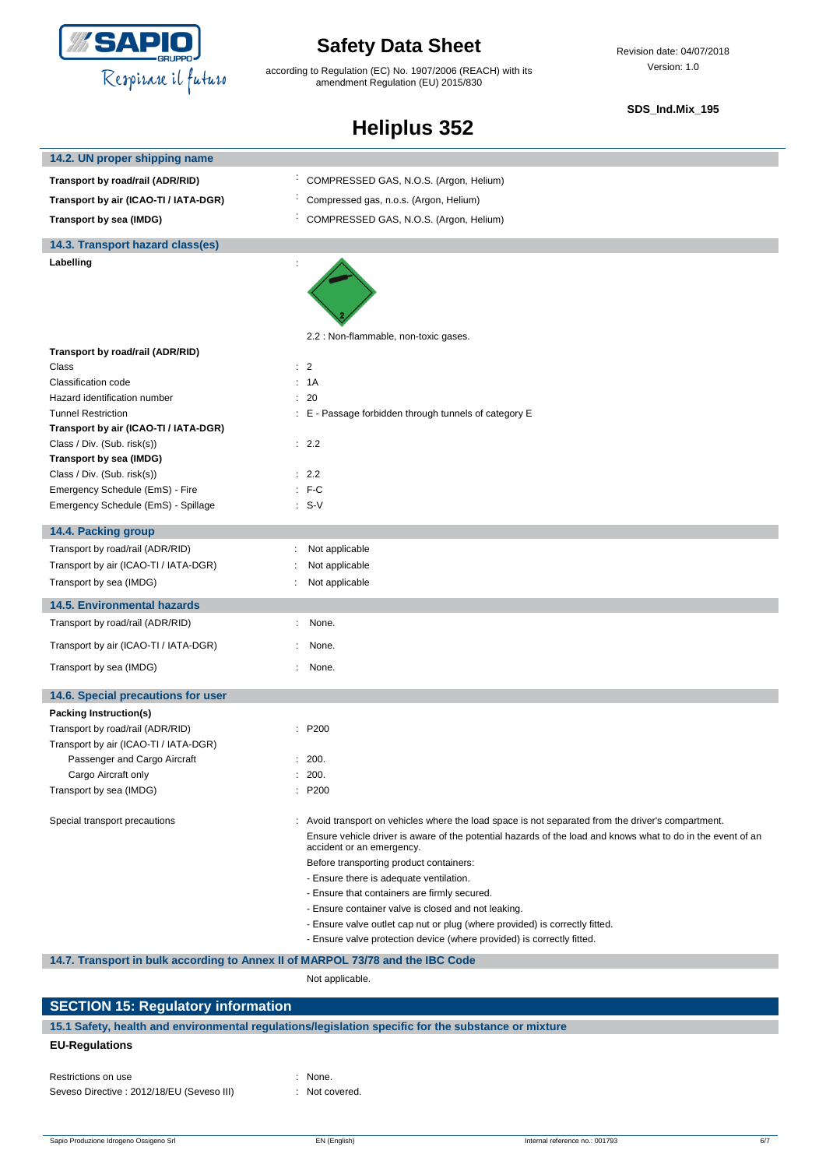

according to Regulation (EC) No. 1907/2006 (REACH) with its amendment Regulation (EU) 2015/830

Revision date: 04/07/2018 Version: 1.0

#### **SDS\_Ind.Mix\_195**

# **Heliplus 352**

| 14.2. UN proper shipping name                                                  |                                                                                                                                          |  |
|--------------------------------------------------------------------------------|------------------------------------------------------------------------------------------------------------------------------------------|--|
| Transport by road/rail (ADR/RID)                                               | COMPRESSED GAS, N.O.S. (Argon, Helium)                                                                                                   |  |
| Transport by air (ICAO-TI / IATA-DGR)                                          | Compressed gas, n.o.s. (Argon, Helium)                                                                                                   |  |
| Transport by sea (IMDG)                                                        | COMPRESSED GAS, N.O.S. (Argon, Helium)                                                                                                   |  |
| 14.3. Transport hazard class(es)                                               |                                                                                                                                          |  |
| Labelling                                                                      | 2.2 : Non-flammable, non-toxic gases.                                                                                                    |  |
| Transport by road/rail (ADR/RID)                                               |                                                                                                                                          |  |
| Class                                                                          | : 2                                                                                                                                      |  |
| Classification code                                                            | : 1A                                                                                                                                     |  |
| Hazard identification number                                                   | : 20                                                                                                                                     |  |
| <b>Tunnel Restriction</b>                                                      | : E - Passage forbidden through tunnels of category E                                                                                    |  |
| Transport by air (ICAO-TI / IATA-DGR)                                          |                                                                                                                                          |  |
| Class / Div. (Sub. risk(s))                                                    | : 2.2                                                                                                                                    |  |
| Transport by sea (IMDG)                                                        |                                                                                                                                          |  |
| Class / Div. (Sub. risk(s))                                                    | : 2.2                                                                                                                                    |  |
| Emergency Schedule (EmS) - Fire                                                | $: F-C$                                                                                                                                  |  |
| Emergency Schedule (EmS) - Spillage                                            | $: S-V$                                                                                                                                  |  |
| 14.4. Packing group                                                            |                                                                                                                                          |  |
| Transport by road/rail (ADR/RID)                                               | Not applicable                                                                                                                           |  |
| Transport by air (ICAO-TI / IATA-DGR)                                          | Not applicable                                                                                                                           |  |
| Transport by sea (IMDG)                                                        | Not applicable                                                                                                                           |  |
| 14.5. Environmental hazards                                                    |                                                                                                                                          |  |
| Transport by road/rail (ADR/RID)                                               | None.                                                                                                                                    |  |
| Transport by air (ICAO-TI / IATA-DGR)                                          | None.                                                                                                                                    |  |
| Transport by sea (IMDG)                                                        | None.                                                                                                                                    |  |
| 14.6. Special precautions for user                                             |                                                                                                                                          |  |
| Packing Instruction(s)                                                         |                                                                                                                                          |  |
| Transport by road/rail (ADR/RID)                                               | : P200                                                                                                                                   |  |
| Transport by air (ICAO-TI / IATA-DGR)                                          |                                                                                                                                          |  |
| Passenger and Cargo Aircraft                                                   | : 200.                                                                                                                                   |  |
| Cargo Aircraft only                                                            | 200.                                                                                                                                     |  |
| Transport by sea (IMDG)                                                        | : P200                                                                                                                                   |  |
| Special transport precautions                                                  | : Avoid transport on vehicles where the load space is not separated from the driver's compartment.                                       |  |
|                                                                                | Ensure vehicle driver is aware of the potential hazards of the load and knows what to do in the event of an<br>accident or an emergency. |  |
|                                                                                | Before transporting product containers:                                                                                                  |  |
|                                                                                | - Ensure there is adequate ventilation.                                                                                                  |  |
|                                                                                | - Ensure that containers are firmly secured.                                                                                             |  |
|                                                                                | - Ensure container valve is closed and not leaking.                                                                                      |  |
|                                                                                | - Ensure valve outlet cap nut or plug (where provided) is correctly fitted.                                                              |  |
|                                                                                | - Ensure valve protection device (where provided) is correctly fitted.                                                                   |  |
| 14.7. Transport in bulk according to Annex II of MARPOL 73/78 and the IBC Code |                                                                                                                                          |  |
|                                                                                | Not applicable.                                                                                                                          |  |

### **SECTION 15: Regulatory information 15.1 Safety, health and environmental regulations/legislation specific for the substance or mixture EU-Regulations**

Restrictions on use : None. Seveso Directive : 2012/18/EU (Seveso III) : Not covered.